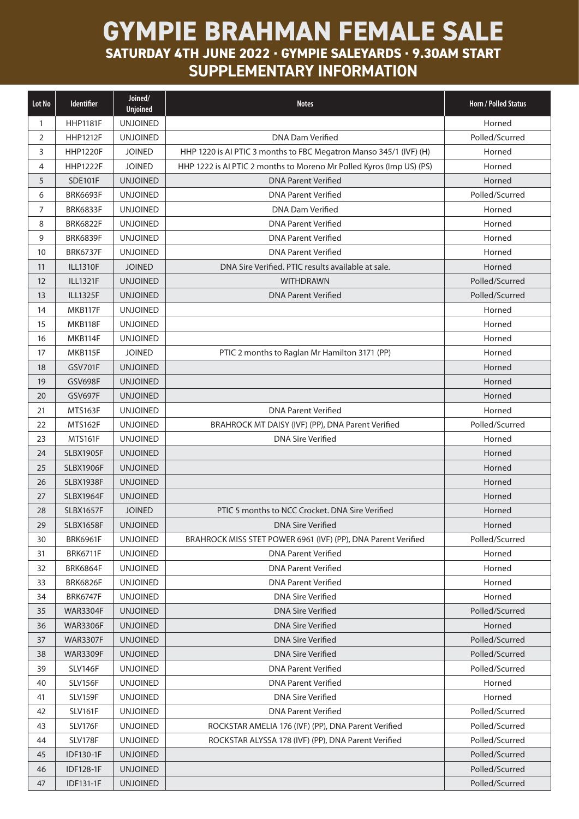## **GYMPIE BRAHMAN FEMALE SALE**

**SATURDAY 4TH JUNE 2022 . GYMPIE SALEYARDS . 9.30AM START SUPPLEMENTARY INFORMATION**

| Lot No         | Identifier       | Joined/<br><b>Unjoined</b> | <b>Notes</b>                                                         | <b>Horn / Polled Status</b> |
|----------------|------------------|----------------------------|----------------------------------------------------------------------|-----------------------------|
| 1              | <b>HHP1181F</b>  | <b>UNJOINED</b>            |                                                                      | Horned                      |
| 2              | <b>HHP1212F</b>  | <b>UNJOINED</b>            | <b>DNA Dam Verified</b>                                              | Polled/Scurred              |
| 3              | <b>HHP1220F</b>  | <b>JOINED</b>              | HHP 1220 is AI PTIC 3 months to FBC Megatron Manso 345/1 (IVF) (H)   | Horned                      |
| 4              | <b>HHP1222F</b>  | <b>JOINED</b>              | HHP 1222 is AI PTIC 2 months to Moreno Mr Polled Kyros (Imp US) (PS) | Horned                      |
| 5              | <b>SDE101F</b>   | <b>UNJOINED</b>            | <b>DNA Parent Verified</b>                                           | Horned                      |
| 6              | <b>BRK6693F</b>  | <b>UNJOINED</b>            | <b>DNA Parent Verified</b>                                           | Polled/Scurred              |
| $\overline{7}$ | <b>BRK6833F</b>  | <b>UNJOINED</b>            | <b>DNA Dam Verified</b>                                              | Horned                      |
| 8              | <b>BRK6822F</b>  | <b>UNJOINED</b>            | <b>DNA Parent Verified</b>                                           | Horned                      |
| 9              | <b>BRK6839F</b>  | <b>UNJOINED</b>            | <b>DNA Parent Verified</b>                                           | Horned                      |
| 10             | <b>BRK6737F</b>  | <b>UNJOINED</b>            | <b>DNA Parent Verified</b>                                           | Horned                      |
| 11             | <b>ILL1310F</b>  | <b>JOINED</b>              | DNA Sire Verified. PTIC results available at sale.                   | Horned                      |
| 12             | <b>ILL1321F</b>  | <b>UNJOINED</b>            | <b>WITHDRAWN</b>                                                     | Polled/Scurred              |
| 13             | <b>ILL1325F</b>  | <b>UNJOINED</b>            | <b>DNA Parent Verified</b>                                           | Polled/Scurred              |
| 14             | MKB117F          | <b>UNJOINED</b>            |                                                                      | Horned                      |
| 15             | MKB118F          | <b>UNJOINED</b>            |                                                                      | Horned                      |
| 16             | MKB114F          | <b>UNJOINED</b>            |                                                                      | Horned                      |
| 17             | MKB115F          | <b>JOINED</b>              | PTIC 2 months to Raglan Mr Hamilton 3171 (PP)                        | Horned                      |
| 18             | <b>GSV701F</b>   | <b>UNJOINED</b>            |                                                                      | Horned                      |
| 19             | <b>GSV698F</b>   | <b>UNJOINED</b>            |                                                                      | Horned                      |
| 20             | <b>GSV697F</b>   | <b>UNJOINED</b>            |                                                                      | Horned                      |
| 21             | <b>MTS163F</b>   | <b>UNJOINED</b>            | <b>DNA Parent Verified</b>                                           | Horned                      |
| 22             | <b>MTS162F</b>   | <b>UNJOINED</b>            | BRAHROCK MT DAISY (IVF) (PP), DNA Parent Verified                    | Polled/Scurred              |
| 23             | <b>MTS161F</b>   | <b>UNJOINED</b>            | <b>DNA Sire Verified</b>                                             | Horned                      |
| 24             | <b>SLBX1905F</b> | <b>UNJOINED</b>            |                                                                      | Horned                      |
| 25             | <b>SLBX1906F</b> | <b>UNJOINED</b>            |                                                                      | Horned                      |
| 26             | <b>SLBX1938F</b> | <b>UNJOINED</b>            |                                                                      | Horned                      |
| 27             | <b>SLBX1964F</b> | <b>UNJOINED</b>            |                                                                      | Horned                      |
| 28             | <b>SLBX1657F</b> | <b>JOINED</b>              | PTIC 5 months to NCC Crocket. DNA Sire Verified                      | Horned                      |
| 29             | <b>SLBX1658F</b> | <b>UNJOINED</b>            | <b>DNA Sire Verified</b>                                             | Horned                      |
| 30             | <b>BRK6961F</b>  | <b>UNJOINED</b>            | BRAHROCK MISS STET POWER 6961 (IVF) (PP), DNA Parent Verified        | Polled/Scurred              |
| 31             | <b>BRK6711F</b>  | <b>UNJOINED</b>            | <b>DNA Parent Verified</b>                                           | Horned                      |
| 32             | <b>BRK6864F</b>  | <b>UNJOINED</b>            | <b>DNA Parent Verified</b>                                           | Horned                      |
| 33             | <b>BRK6826F</b>  | <b>UNJOINED</b>            | <b>DNA Parent Verified</b>                                           | Horned                      |
| 34             | <b>BRK6747F</b>  | <b>UNJOINED</b>            | <b>DNA Sire Verified</b>                                             | Horned                      |
| 35             | <b>WAR3304F</b>  | <b>UNJOINED</b>            | <b>DNA Sire Verified</b>                                             | Polled/Scurred              |
| 36             | <b>WAR3306F</b>  | <b>UNJOINED</b>            | <b>DNA Sire Verified</b>                                             | Horned                      |
| 37             | <b>WAR3307F</b>  | <b>UNJOINED</b>            | <b>DNA Sire Verified</b>                                             | Polled/Scurred              |
| 38             | <b>WAR3309F</b>  | <b>UNJOINED</b>            | <b>DNA Sire Verified</b>                                             | Polled/Scurred              |
| 39             | SLV146F          | <b>UNJOINED</b>            | <b>DNA Parent Verified</b>                                           | Polled/Scurred              |
| 40             | <b>SLV156F</b>   | <b>UNJOINED</b>            | <b>DNA Parent Verified</b>                                           | Horned                      |
| 41             | SLV159F          | <b>UNJOINED</b>            | <b>DNA Sire Verified</b>                                             | Horned                      |
| 42             | <b>SLV161F</b>   | <b>UNJOINED</b>            | <b>DNA Parent Verified</b>                                           | Polled/Scurred              |
| 43             | SLV176F          | <b>UNJOINED</b>            | ROCKSTAR AMELIA 176 (IVF) (PP), DNA Parent Verified                  | Polled/Scurred              |
| 44             | SLV178F          | <b>UNJOINED</b>            | ROCKSTAR ALYSSA 178 (IVF) (PP), DNA Parent Verified                  | Polled/Scurred              |
| 45             | <b>IDF130-1F</b> | <b>UNJOINED</b>            |                                                                      | Polled/Scurred              |
| 46             | <b>IDF128-1F</b> | <b>UNJOINED</b>            |                                                                      | Polled/Scurred              |
| 47             | IDF131-1F        | <b>UNJOINED</b>            |                                                                      | Polled/Scurred              |